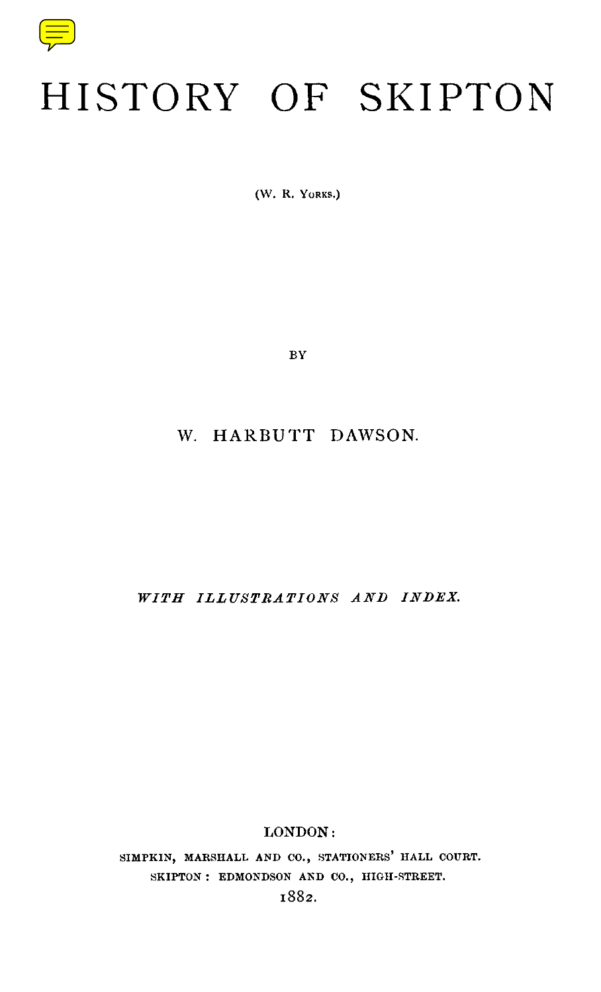

## HISTORY OF SKIPTON

(W. R. YORKS.)

**BY** 

## W. HARBUTT DAWSON.

*WITH ILLUSTRATIONS AND INDEX.*

## LONDON :

**SIMPKIN, MARSHALL AND CO ., STATIONERS ' HALL COURT.** SKIPTON : EDMONDSON AND CO., HIGH-STREET.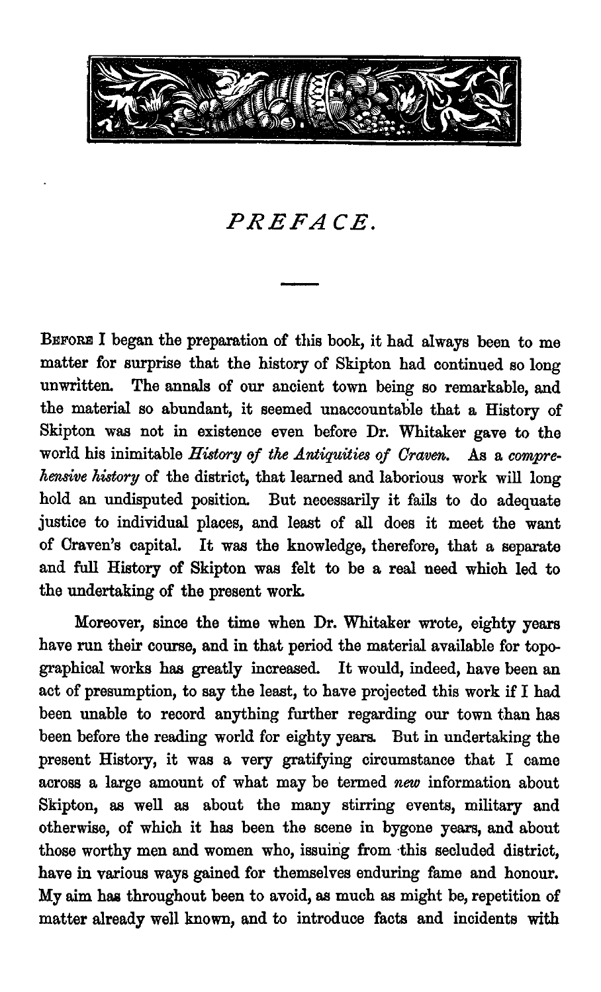

*PREFACE.*

**BEFORE I began the preparation of this book, it had always been to m e matter for surprise that the history of Skipton had continued so long unwritten. The annals of our ancient town being so remarkable, and the material so abundant, it seemed unaccountable that a History of Skipton was not in existence even before Dr . Whitaker gave to the world his inimitable History of the Antiquities of Craven. As** *<sup>a</sup> comprehensive history of the district, that learned and laborious work will long hold an undisputed position. But necessarily it fails to do adequate justice to individual places, and least of all does it meet the want of Craven's capital. It was the knowledge, therefore, that a separate and full History of Skipton was felt to be a real need which led to the undertaking of the present work.*

Moreover, since the time when Dr. Whitaker wrote, eighty years have run their course, and in that period the material available for topographical works has greatly increased. It would, indeed, have been an act of presumption, to say the least, to have projected this work if I had been unable to record anything further regarding our town than has been before the reading world for eighty years. But in undertaking the present History, it was a very gratifying circumstance that I came across a large amount of what may be termed new information about Skipton, as well as about the many stirring events, military and otherwise, of which it has been the scene in bygone years, and about those worthy men and women who, issuing from this secluded district, have in various ways gained for themselves enduring fame and honour. My aim has throughout been to avoid, as much as might be, repetition of matter already well known, and to introduce facts and incidents with